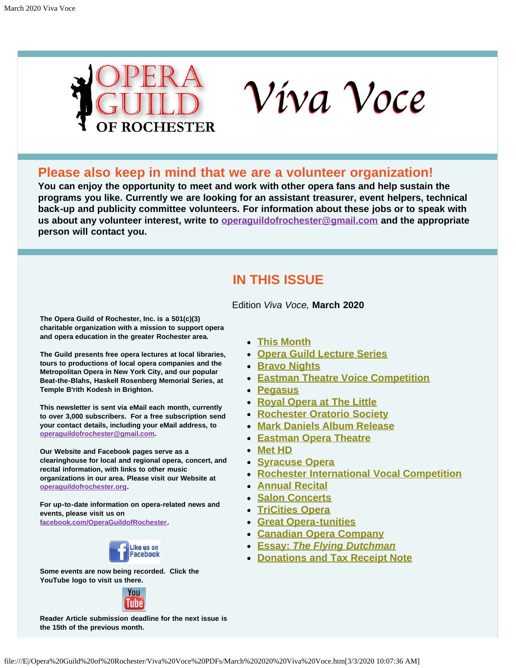

# Víva Voce

# **Please also keep in mind that we are a volunteer organization!**

**You can enjoy the opportunity to meet and work with other opera fans and help sustain the programs you like. Currently we are looking for an assistant treasurer, event helpers, technical back-up and publicity committee volunteers. For information about these jobs or to speak with us about any volunteer interest, write to [operaguildofrochester@gmail.com](mailto:operaguildofrochester@gmail.com) and the appropriate person will contact you.**

# **IN THIS ISSUE**

Edition *Viva Voce,* **March 2020**

<span id="page-0-0"></span>**The Opera Guild of Rochester, Inc. is a 501(c)(3) charitable organization with a mission to support opera and opera education in the greater Rochester area.**

**The Guild presents free opera lectures at local libraries, tours to productions of local opera companies and the Metropolitan Opera in New York City, and our popular Beat-the-Blahs, Haskell Rosenberg Memorial Series, at Temple B'rith Kodesh in Brighton.**

**This newsletter is sent via eMail each month, currently to over 3,000 subscribers. For a free subscription send your contact details, including your eMail address, to [operaguildofrochester@gmail.com](mailto:operaguildofrochester@gmail.com).**

**Our Website and Facebook pages serve as a clearinghouse for local and regional opera, concert, and recital information, with links to other music organizations in our area. Please visit our Website at [operaguildofrochester.org](http://operaguildofrochester.org/).**

**For up-to-date information on opera-related news and events, please visit us on [facebook.com/OperaGuildofRochester](http://facebook.com/OperaGuildofRochester).**



**Some events are now being recorded. Click the YouTube logo to visit us there.**



**Reader Article submission deadline for the next issue is the 15th of the previous month.**

- **[This Month](#page-1-0)**
- **[Opera Guild Lecture Series](#page-1-1)**
- **[Bravo Nights](#page-2-0)**
- **[Eastman Theatre Voice Competition](#page-2-1)**
- **[Pegasus](#page-2-2)**
- **[Royal Opera at The Little](#page-3-0)**
- **[Rochester Oratorio Society](#page-4-0)**
- **[Mark Daniels Album Release](#page-4-1)**
- **[Eastman Opera Theatre](#page-5-0)**
- **[Met HD](#page-5-1)**
- **[Syracuse Opera](#page-6-0)**
- **[Rochester International Vocal Competition](#page-2-1)**
- **[Annual Recital](#page-7-0)**
- **[Salon Concerts](#page-8-0)**
- **[TriCities Opera](#page-8-1)**
- **[Great Opera-tunities](#page-9-0)**
- **[Canadian Opera Company](#page-10-0)**
- **[Essay:](#page-10-1)** *[The Flying Dutchman](#page-10-1)*
- **[Donations and Tax Receipt Note](#page-11-0)**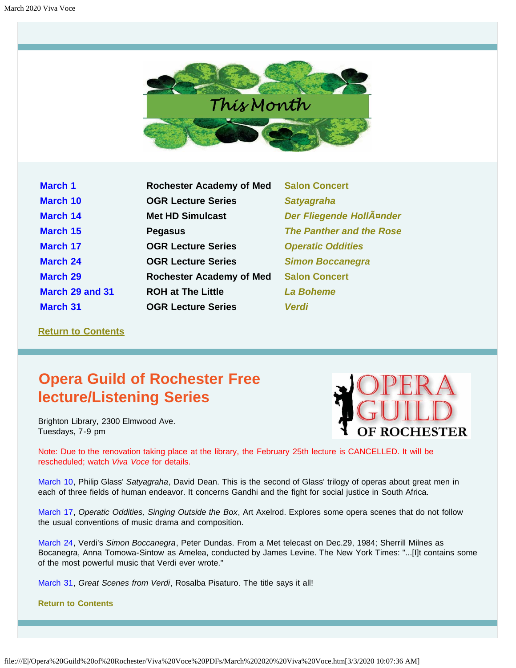

<span id="page-1-0"></span>

| <b>March 1</b>  | <b>Rochester Academy of Med</b> | <b>Salon Concert</b>      |
|-----------------|---------------------------------|---------------------------|
| <b>March 10</b> | <b>OGR Lecture Series</b>       | <b>Satyagraha</b>         |
| <b>March 14</b> | <b>Met HD Simulcast</b>         | <b>Der Fliegende Holl</b> |
| <b>March 15</b> | <b>Pegasus</b>                  | <b>The Panther and th</b> |
| <b>March 17</b> | <b>OGR Lecture Series</b>       | <b>Operatic Oddities</b>  |
| <b>March 24</b> | <b>OGR Lecture Series</b>       | <b>Simon Boccanegra</b>   |
| <b>March 29</b> | <b>Rochester Academy of Med</b> | <b>Salon Concert</b>      |
| March 29 and 31 | <b>ROH at The Little</b>        | <b>La Boheme</b>          |
| <b>March 31</b> | <b>OGR Lecture Series</b>       | <b>Verdi</b>              |

**March 14 Met HD Simulcast** *[Der Fliegende Holländer](#page-5-1)* **March 15 Pegasus** *[The Panther and the Rose](#page-2-2)*

#### **[Return to Contents](#page-0-0)**

# <span id="page-1-1"></span>**Opera Guild of Rochester Free lecture/Listening Series**

Brighton Library, 2300 Elmwood Ave. Tuesdays, 7-9 pm



Note: Due to the renovation taking place at the library, the February 25th lecture is CANCELLED. It will be rescheduled; watch *Viva Voce* for details.

March 10, Philip Glass' *Satyagraha*, David Dean. This is the second of Glass' trilogy of operas about great men in each of three fields of human endeavor. It concerns Gandhi and the fight for social justice in South Africa.

March 17, *Operatic Oddities, Singing Outside the Box*, Art Axelrod. Explores some opera scenes that do not follow the usual conventions of music drama and composition.

March 24, Verdi's *Simon Boccanegra*, Peter Dundas. From a Met telecast on Dec.29, 1984; Sherrill Milnes as Bocanegra, Anna Tomowa-Sintow as Amelea, conducted by James Levine. The New York Times: "...[I]t contains some of the most powerful music that Verdi ever wrote."

March 31, *Great Scenes from Verdi*, Rosalba Pisaturo. The title says it all!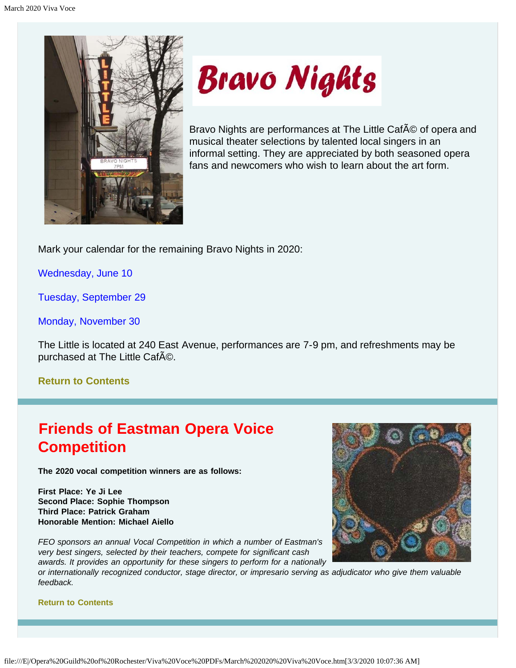<span id="page-2-0"></span>

# **Bravo Nights**

Bravo Nights are performances at The Little CafA © of opera and musical theater selections by talented local singers in an informal setting. They are appreciated by both seasoned opera fans and newcomers who wish to learn about the art form.

Mark your calendar for the remaining Bravo Nights in 2020:

Wednesday, June 10

Tuesday, September 29

Monday, November 30

The Little is located at 240 East Avenue, performances are 7-9 pm, and refreshments may be purchased at The Little CafAO.

## **[Return to Contents](#page-0-0)**

# <span id="page-2-1"></span>**Friends of Eastman Opera Voice Competition**

**The 2020 vocal competition winners are as follows:**

**First Place: Ye Ji Lee Second Place: Sophie Thompson Third Place: Patrick Graham Honorable Mention: Michael Aiello**

*FEO sponsors an annual Vocal Competition in which a number of Eastman's very best singers, selected by their teachers, compete for significant cash awards. It provides an opportunity for these singers to perform for a nationally*

<span id="page-2-2"></span>*or internationally recognized conductor, stage director, or impresario serving as adjudicator who give them valuable feedback.*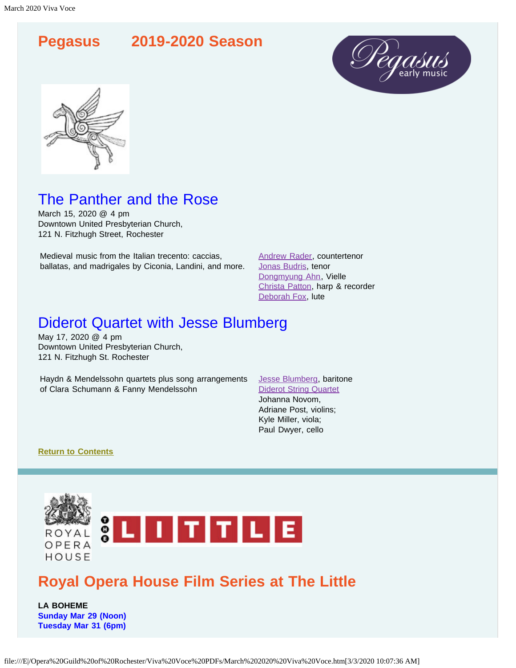





# The Panther and the Rose

March 15, 2020 @ 4 pm Downtown United Presbyterian Church, 121 N. Fitzhugh Street, Rochester

Medieval music from the Italian trecento: caccias, ballatas, and madrigales by Ciconia, Landini, and more. [Andrew Rader,](https://www.pegasusearlymusic.org/artist/andrew-rader/) countertenor [Jonas Budris,](https://www.pegasusearlymusic.org/artist/jonas-budris/) tenor [Dongmyung Ahn](https://www.pegasusearlymusic.org/artist/dongmyung-ahn/), Vielle [Christa Patton,](https://www.pegasusearlymusic.org/artist/christa-patton/) harp & recorder [Deborah Fox,](https://www.pegasusearlymusic.org/artist/deborah-fox/) lute

# Diderot Quartet with Jesse Blumberg

May 17, 2020 @ 4 pm Downtown United Presbyterian Church, 121 N. Fitzhugh St. Rochester

Haydn & Mendelssohn quartets plus song arrangements of Clara Schumann & Fanny Mendelssohn

[Jesse Blumberg](https://www.pegasusearlymusic.org/artist/jesse-blumberg/), baritone [Diderot String Quartet](https://www.pegasusearlymusic.org/artist/diderot-string-quartet/) Johanna Novom, Adriane Post, violins; Kyle Miller, viola; Paul Dwyer, cello

#### **[Return to Contents](#page-0-0)**

<span id="page-3-0"></span>

# **Royal Opera House Film Series at The Little**

**LA BOHEME Sunday Mar 29 (Noon) Tuesday Mar 31 (6pm)**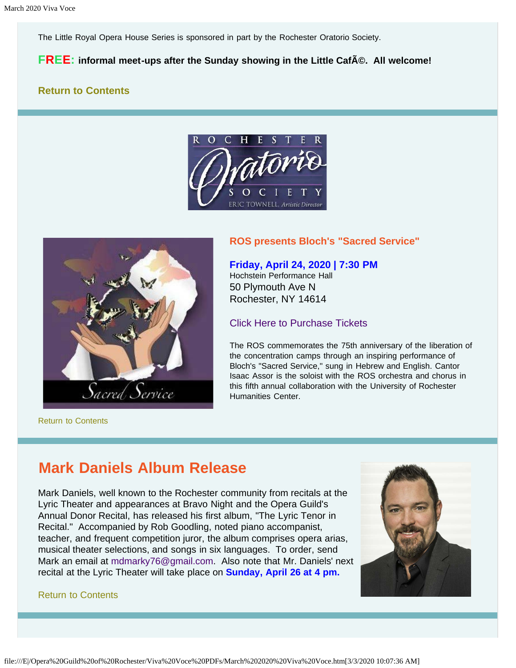The Little Royal Opera House Series is sponsored in part by the Rochester Oratorio Society.

#### **FREE:** informal meet-ups after the Sunday showing in the Little CafA©. All welcome!

#### <span id="page-4-0"></span>**[Return to Contents](#page-0-0)**





[Return to Contents](#page-0-0)

#### **ROS presents Bloch's "Sacred Service"**

#### **Friday, April 24, 2020 | 7:30 PM**

Hochstein Performance Hall 50 Plymouth Ave N Rochester, NY 14614

#### [Click Here to Purchase Tickets](https://tickets.vendini.com/ticket-software.html?t=tix&e=803944be2c01a48fa44bfdb7f0108179&vqitq=1bc33252-1e67-4e3c-883d-e5a706f4533e&vqitp=e6f92759-9692-45d2-891d-dd9ee79884db&vqitts=1580065950&vqitc=vendini&vqite=itl&vqitrt=Safetynet&vqith=8900e0fd1c40ffff87c3100b4bc18a63)

The ROS commemorates the 75th anniversary of the liberation of the concentration camps through an inspiring performance of Bloch's "Sacred Service," sung in Hebrew and English. Cantor Isaac Assor is the soloist with the ROS orchestra and chorus in this fifth annual collaboration with the University of Rochester Humanities Center.

# <span id="page-4-1"></span>**Mark Daniels Album Release**

Mark Daniels, well known to the Rochester community from recitals at the Lyric Theater and appearances at Bravo Night and the Opera Guild's Annual Donor Recital, has released his first album, "The Lyric Tenor in Recital." Accompanied by Rob Goodling, noted piano accompanist, teacher, and frequent competition juror, the album comprises opera arias, musical theater selections, and songs in six languages. To order, send Mark an email at [mdmarky76@gmail.com](mailto:mdmarky76@gmail.com). Also note that Mr. Daniels' next recital at the Lyric Theater will take place on **Sunday, April 26 at 4 pm.**

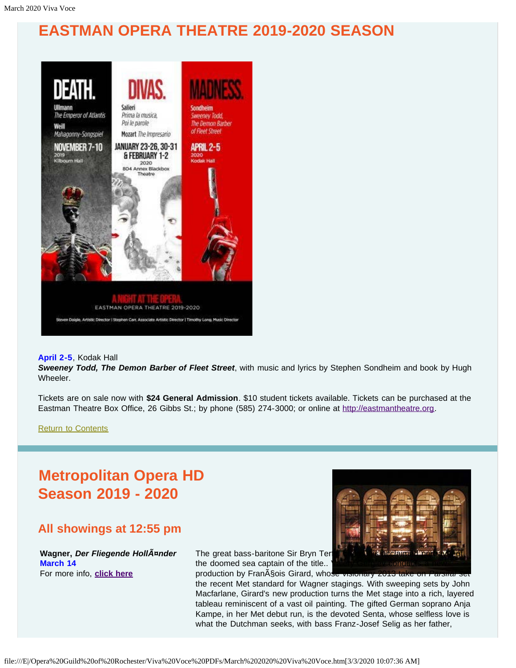# <span id="page-5-0"></span>**EASTMAN OPERA THEATRE 2019-2020 SEASON**



#### **April 2-5**, Kodak Hall

*Sweeney Todd, The Demon Barber of Fleet Street*, with music and lyrics by Stephen Sondheim and book by Hugh Wheeler.

Tickets are on sale now with **\$24 General Admission**. \$10 student tickets available. Tickets can be purchased at the Eastman Theatre Box Office, 26 Gibbs St.; by phone (585) 274-3000; or online at [http://eastmantheatre.org](http://www.eastmantheatre.org/).

the doomed sea captain of the title..

[Return to Contents](#page-0-0)

# <span id="page-5-1"></span>**Metropolitan Opera HD Season 2019 - 2020**

# **All showings at 12:55 pm**

**Wagner,** *Der Fliegende Holländer*  **March 14**  For more info, **[click here](https://www.metopera.org/season/in-cinemas/2019-20-season/der-fliegende-hollander-live-in-hd/)**



production by Fran<sub>AS</sub>ois Girard, whose the recent Met standard for Wagner stagings. With sweeping sets by John Macfarlane, Girard's new production turns the Met stage into a rich, layered tableau reminiscent of a vast oil painting. The gifted German soprano Anja Kampe, in her Met debut run, is the devoted Senta, whose selfless love is what the Dutchman seeks, with bass Franz-Josef Selig as her father,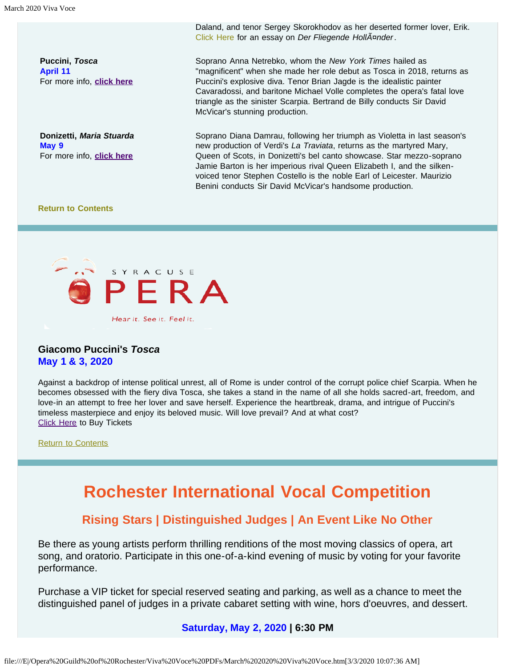**Puccini,** *Tosca*  **April 11**  For more info, **[click here](https://www.metopera.org/season/in-cinemas/2019-20-season/tosca-live-in-hd/)**

**Donizetti,** *Maria Stuarda*  **May 9**  For more info, **[click here](https://www.metopera.org/season/in-cinemas/2019-20-season/maria-stuarda-live-in-hd/)**

Daland, and tenor Sergey Skorokhodov as her deserted former lover, Erik. [Click Here](#page-10-1) for an essay on *Der Fliegende Holländer*.

Soprano Anna Netrebko, whom the *New York Times* hailed as "magnificent" when she made her role debut as Tosca in 2018, returns as Puccini's explosive diva. Tenor Brian Jagde is the idealistic painter Cavaradossi, and baritone Michael Volle completes the opera's fatal love triangle as the sinister Scarpia. Bertrand de Billy conducts Sir David McVicar's stunning production.

Soprano Diana Damrau, following her triumph as Violetta in last season's new production of Verdi's *La Traviata*, returns as the martyred Mary, Queen of Scots, in Donizetti's bel canto showcase. Star mezzo-soprano Jamie Barton is her imperious rival Queen Elizabeth I, and the silkenvoiced tenor Stephen Costello is the noble Earl of Leicester. Maurizio Benini conducts Sir David McVicar's handsome production.

#### **[Return to Contents](#page-0-0)**

<span id="page-6-0"></span>

#### **Giacomo Puccini's** *Tosca* **May 1 & 3, 2020**

Against a backdrop of intense political unrest, all of Rome is under control of the corrupt police chief Scarpia. When he becomes obsessed with the fiery diva Tosca, she takes a stand in the name of all she holds sacred-art, freedom, and love-in an attempt to free her lover and save herself. Experience the heartbreak, drama, and intrigue of Puccini's timeless masterpiece and enjoy its beloved music. Will love prevail? And at what cost? **[Click Here](https://www.syracuseopera.org/subscriptions) to Buy Tickets** 

[Return to Contents](#page-0-0)

# **Rochester International Vocal Competition**

## **Rising Stars | Distinguished Judges | An Event Like No Other**

Be there as young artists perform thrilling renditions of the most moving classics of opera, art song, and oratorio. Participate in this one-of-a-kind evening of music by voting for your favorite performance.

Purchase a VIP ticket for special reserved seating and parking, as well as a chance to meet the distinguished panel of judges in a private cabaret setting with wine, hors d'oeuvres, and dessert.

#### **Saturday, May 2, 2020 | 6:30 PM**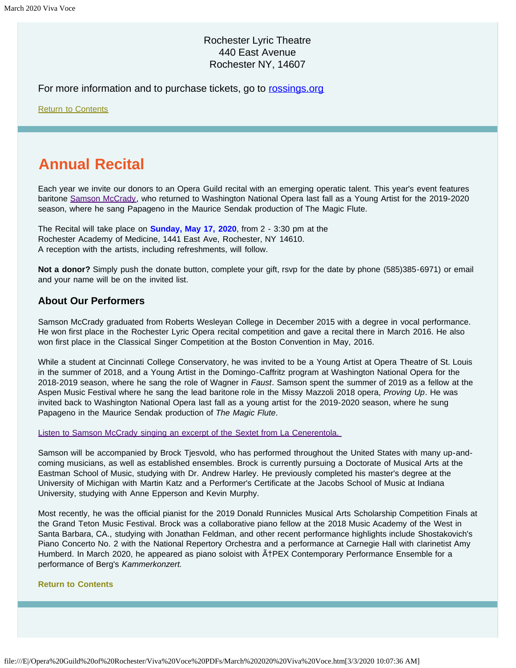### Rochester Lyric Theatre 440 East Avenue Rochester NY, 14607

For more information and to purchase tickets, go to [rossings.org](http://www.rossings.org/)

[Return to Contents](#page-0-0)

# <span id="page-7-0"></span>**Annual Recital**

Each year we invite our donors to an Opera Guild recital with an emerging operatic talent. This year's event features baritone [Samson McCrady,](https://www.samsonmccrady.com/) who returned to Washington National Opera last fall as a Young Artist for the 2019-2020 season, where he sang Papageno in the Maurice Sendak production of The Magic Flute.

The Recital will take place on **Sunday, May 17, 2020**, from 2 - 3:30 pm at the Rochester Academy of Medicine, 1441 East Ave, Rochester, NY 14610. A reception with the artists, including refreshments, will follow.

**Not a donor?** Simply push the donate button, complete your gift, rsvp for the date by phone (585)385-6971) or email and your name will be on the invited list.

#### **About Our Performers**

Samson McCrady graduated from Roberts Wesleyan College in December 2015 with a degree in vocal performance. He won first place in the Rochester Lyric Opera recital competition and gave a recital there in March 2016. He also won first place in the Classical Singer Competition at the Boston Convention in May, 2016.

While a student at Cincinnati College Conservatory, he was invited to be a Young Artist at Opera Theatre of St. Louis in the summer of 2018, and a Young Artist in the Domingo-Caffritz program at Washington National Opera for the 2018-2019 season, where he sang the role of Wagner in *Faust*. Samson spent the summer of 2019 as a fellow at the Aspen Music Festival where he sang the lead baritone role in the Missy Mazzoli 2018 opera, *Proving Up*. He was invited back to Washington National Opera last fall as a young artist for the 2019-2020 season, where he sung Papageno in the Maurice Sendak production of *The Magic Flute*.

[Listen to Samson McCrady singing an excerpt of the Sextet from La Cenerentola.](https://www.youtube.com/watch?v=W-VcuZMaqtk) 

Samson will be accompanied by Brock Tjesvold, who has performed throughout the United States with many up-andcoming musicians, as well as established ensembles. Brock is currently pursuing a Doctorate of Musical Arts at the Eastman School of Music, studying with Dr. Andrew Harley. He previously completed his master's degree at the University of Michigan with Martin Katz and a Performer's Certificate at the Jacobs School of Music at Indiana University, studying with Anne Epperson and Kevin Murphy.

Most recently, he was the official pianist for the 2019 Donald Runnicles Musical Arts Scholarship Competition Finals at the Grand Teton Music Festival. Brock was a collaborative piano fellow at the 2018 Music Academy of the West in Santa Barbara, CA., studying with Jonathan Feldman, and other recent performance highlights include Shostakovich's Piano Concerto No. 2 with the National Repertory Orchestra and a performance at Carnegie Hall with clarinetist Amy Humberd. In March 2020, he appeared as piano soloist with  $\tilde{A}$ †PEX Contemporary Performance Ensemble for a performance of Berg's *Kammerkonzert.*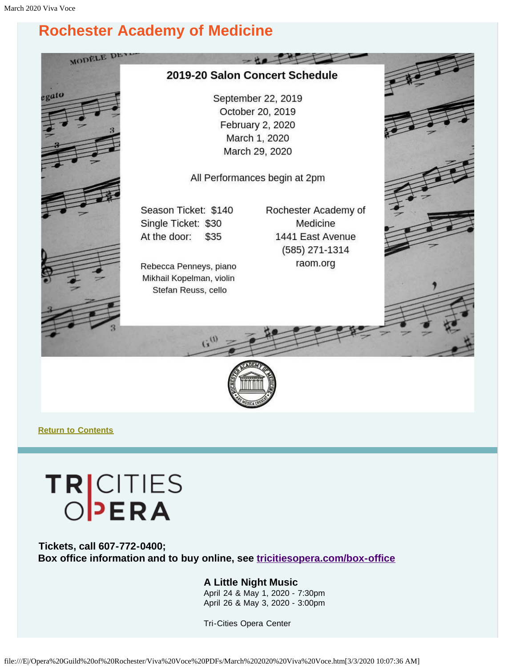# <span id="page-8-0"></span>**Rochester Academy of Medicine**





**[Return to Contents](#page-0-0)**

# TRICITIES

<span id="page-8-1"></span>**Tickets, call 607-772-0400; Box office information and to buy online, see [tricitiesopera.com/box-office](http://tricitiesopera.com/box-office)**

#### **A Little Night Music**

April 24 & May 1, 2020 - 7:30pm April 26 & May 3, 2020 - 3:00pm

Tri-Cities Opera Center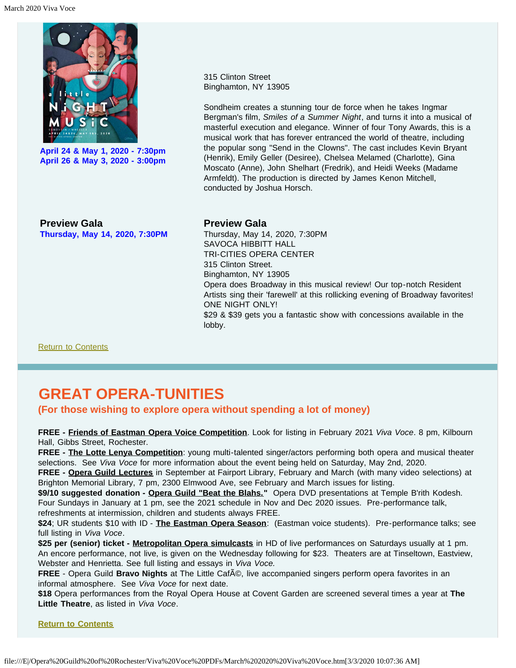

**April 24 & May 1, 2020 - 7:30pm April 26 & May 3, 2020 - 3:00pm** 315 Clinton Street Binghamton, NY 13905

Sondheim creates a stunning tour de force when he takes Ingmar Bergman's film, *Smiles of a Summer Night*, and turns it into a musical of masterful execution and elegance. Winner of four Tony Awards, this is a musical work that has forever entranced the world of theatre, including the popular song "Send in the Clowns". The cast includes Kevin Bryant (Henrik), Emily Geller (Desiree), Chelsea Melamed (Charlotte), Gina Moscato (Anne), John Shelhart (Fredrik), and Heidi Weeks (Madame Armfeldt). The production is directed by James Kenon Mitchell, conducted by Joshua Horsch.

**Preview Gala Thursday, May 14, 2020, 7:30PM**

#### **Preview Gala**

Thursday, May 14, 2020, 7:30PM SAVOCA HIBBITT HALL TRI-CITIES OPERA CENTER 315 Clinton Street. Binghamton, NY 13905 Opera does Broadway in this musical review! Our top-notch Resident Artists sing their 'farewell' at this rollicking evening of Broadway favorites! ONE NIGHT ONLY! \$29 & \$39 gets you a fantastic show with concessions available in the lobby.

[Return to Contents](#page-0-0)

# <span id="page-9-0"></span>**GREAT OPERA-TUNITIES**

**(For those wishing to explore opera without spending a lot of money)**

**FREE - Friends of Eastman Opera Voice Competition**. Look for listing in February 2021 *Viva Voce*. 8 pm, Kilbourn Hall, Gibbs Street, Rochester.

**FREE - The Lotte Lenya Competition**: young multi-talented singer/actors performing both opera and musical theater selections. See *Viva Voce* for more information about the event being held on Saturday, May 2nd, 2020.

**FREE - Opera Guild Lectures** in September at Fairport Library, February and March (with many video selections) at Brighton Memorial Library, 7 pm, 2300 Elmwood Ave, see February and March issues for listing.

\$9/10 suggested donation - Opera Guild "Beat the Blahs." Opera DVD presentations at Temple B'rith Kodesh. Four Sundays in January at 1 pm, see the 2021 schedule in Nov and Dec 2020 issues. Pre-performance talk, refreshments at intermission, children and students always FREE.

**\$24**; UR students \$10 with ID - **The Eastman Opera Season**: (Eastman voice students). Pre-performance talks; see full listing in *Viva Voce*.

**\$25 per (senior) ticket - Metropolitan Opera simulcasts** in HD of live performances on Saturdays usually at 1 pm. An encore performance, not live, is given on the Wednesday following for \$23. Theaters are at Tinseltown, Eastview, Webster and Henrietta. See full listing and essays in *Viva Voce.*

**FREE** - Opera Guild **Bravo Nights** at The Little Caf©, live accompanied singers perform opera favorites in an informal atmosphere. See *Viva Voce* for next date.

**\$18** Opera performances from the Royal Opera House at Covent Garden are screened several times a year at **The Little Theatre**, as listed in *Viva Voce*.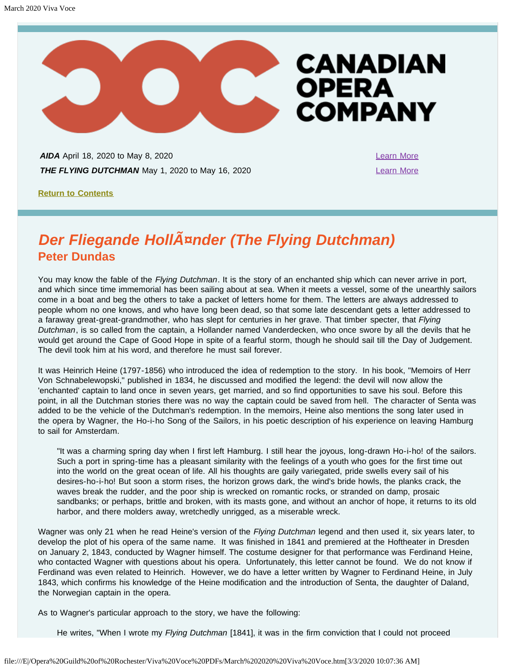

<span id="page-10-0"></span>**AIDA** April 18, 2020 to May 8, 2020 [Learn More](https://www.coc.ca/productions/18731) **THE FLYING DUTCHMAN** May 1, 2020 to May 16, 2020

**[Return to Contents](#page-0-0)**

# <span id="page-10-1"></span>**Der Fliegande HollAnder (The Flying Dutchman) Peter Dundas**

You may know the fable of the *Flying Dutchman*. It is the story of an enchanted ship which can never arrive in port, and which since time immemorial has been sailing about at sea. When it meets a vessel, some of the unearthly sailors come in a boat and beg the others to take a packet of letters home for them. The letters are always addressed to people whom no one knows, and who have long been dead, so that some late descendant gets a letter addressed to a faraway great-great-grandmother, who has slept for centuries in her grave. That timber specter, that *Flying Dutchman*, is so called from the captain, a Hollander named Vanderdecken, who once swore by all the devils that he would get around the Cape of Good Hope in spite of a fearful storm, though he should sail till the Day of Judgement. The devil took him at his word, and therefore he must sail forever.

It was Heinrich Heine (1797-1856) who introduced the idea of redemption to the story. In his book, "Memoirs of Herr Von Schnabelewopski," published in 1834, he discussed and modified the legend: the devil will now allow the 'enchanted' captain to land once in seven years, get married, and so find opportunities to save his soul. Before this point, in all the Dutchman stories there was no way the captain could be saved from hell. The character of Senta was added to be the vehicle of the Dutchman's redemption. In the memoirs, Heine also mentions the song later used in the opera by Wagner, the Ho-i-ho Song of the Sailors, in his poetic description of his experience on leaving Hamburg to sail for Amsterdam.

"It was a charming spring day when I first left Hamburg. I still hear the joyous, long-drawn Ho-i-ho! of the sailors. Such a port in spring-time has a pleasant similarity with the feelings of a youth who goes for the first time out into the world on the great ocean of life. All his thoughts are gaily variegated, pride swells every sail of his desires-ho-i-ho! But soon a storm rises, the horizon grows dark, the wind's bride howls, the planks crack, the waves break the rudder, and the poor ship is wrecked on romantic rocks, or stranded on damp, prosaic sandbanks; or perhaps, brittle and broken, with its masts gone, and without an anchor of hope, it returns to its old harbor, and there molders away, wretchedly unrigged, as a miserable wreck.

Wagner was only 21 when he read Heine's version of the *Flying Dutchman* legend and then used it, six years later, to develop the plot of his opera of the same name. It was finished in 1841 and premiered at the Hoftheater in Dresden on January 2, 1843, conducted by Wagner himself. The costume designer for that performance was Ferdinand Heine, who contacted Wagner with questions about his opera. Unfortunately, this letter cannot be found. We do not know if Ferdinand was even related to Heinrich. However, we do have a letter written by Wagner to Ferdinand Heine, in July 1843, which confirms his knowledge of the Heine modification and the introduction of Senta, the daughter of Daland, the Norwegian captain in the opera.

As to Wagner's particular approach to the story, we have the following:

He writes, "When I wrote my *Flying Dutchman* [1841], it was in the firm conviction that I could not proceed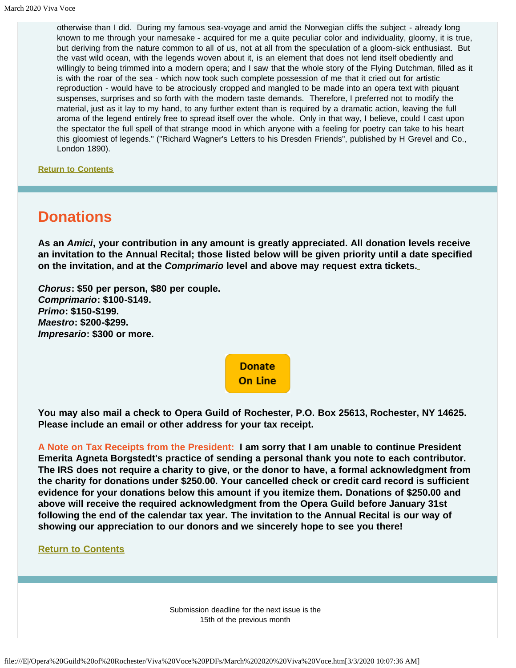otherwise than I did. During my famous sea-voyage and amid the Norwegian cliffs the subject - already long known to me through your namesake - acquired for me a quite peculiar color and individuality, gloomy, it is true, but deriving from the nature common to all of us, not at all from the speculation of a gloom-sick enthusiast. But the vast wild ocean, with the legends woven about it, is an element that does not lend itself obediently and willingly to being trimmed into a modern opera; and I saw that the whole story of the Flying Dutchman, filled as it is with the roar of the sea - which now took such complete possession of me that it cried out for artistic reproduction - would have to be atrociously cropped and mangled to be made into an opera text with piquant suspenses, surprises and so forth with the modern taste demands. Therefore, I preferred not to modify the material, just as it lay to my hand, to any further extent than is required by a dramatic action, leaving the full aroma of the legend entirely free to spread itself over the whole. Only in that way, I believe, could I cast upon the spectator the full spell of that strange mood in which anyone with a feeling for poetry can take to his heart this gloomiest of legends." ("Richard Wagner's Letters to his Dresden Friends", published by H Grevel and Co., London 1890).

**[Return to Contents](#page-0-0)**

# <span id="page-11-0"></span>**Donations**

**As an** *Amici***, your contribution in any amount is greatly appreciated. All donation levels receive an invitation to the Annual Recital; those listed below will be given priority until a date specified on the invitation, and at the** *Comprimario* **level and above may request extra tickets.**

*Chorus***: \$50 per person, \$80 per couple.** *Comprimario***: \$100-\$149.** *Primo***: \$150-\$199.** *Maestro***: \$200-\$299.** *Impresario***: \$300 or more.**

> **Donate On Line**

**You may also mail a check to Opera Guild of Rochester, P.O. Box 25613, Rochester, NY 14625. Please include an email or other address for your tax receipt.**

**A Note on Tax Receipts from the President: I am sorry that I am unable to continue President Emerita Agneta Borgstedt's practice of sending a personal thank you note to each contributor. The IRS does not require a charity to give, or the donor to have, a formal acknowledgment from the charity for donations under \$250.00. Your cancelled check or credit card record is sufficient evidence for your donations below this amount if you itemize them. Donations of \$250.00 and above will receive the required acknowledgment from the Opera Guild before January 31st following the end of the calendar tax year. The invitation to the Annual Recital is our way of showing our appreciation to our donors and we sincerely hope to see you there!**

**[Return to Contents](#page-0-0)**

Submission deadline for the next issue is the 15th of the previous month